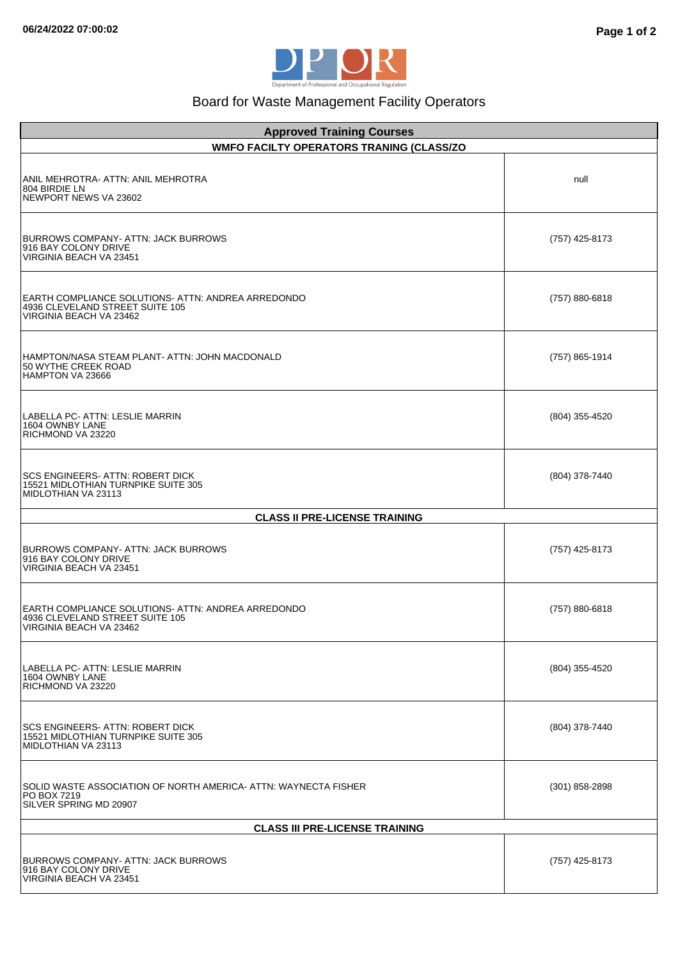

## Board for Waste Management Facility Operators

| <b>Approved Training Courses</b><br><b>WMFO FACILTY OPERATORS TRANING (CLASS/ZO</b>                              |                  |
|------------------------------------------------------------------------------------------------------------------|------------------|
| ANIL MEHROTRA- ATTN: ANIL MEHROTRA<br>804 BIRDIE LN<br>NEWPORT NEWS VA 23602                                     | null             |
| <b>BURROWS COMPANY- ATTN: JACK BURROWS</b><br>916 BAY COLONY DRIVE<br>VIRGINIA BEACH VA 23451                    | (757) 425-8173   |
| EARTH COMPLIANCE SOLUTIONS- ATTN: ANDREA ARREDONDO<br>4936 CLEVELAND STREET SUITE 105<br>VIRGINIA BEACH VA 23462 | (757) 880-6818   |
| HAMPTON/NASA STEAM PLANT- ATTN: JOHN MACDONALD<br>50 WYTHE CREEK ROAD<br>HAMPTON VA 23666                        | (757) 865-1914   |
| LABELLA PC- ATTN: LESLIE MARRIN<br>1604 OWNBY LANE<br>RICHMOND VA 23220                                          | (804) 355-4520   |
| SCS ENGINEERS- ATTN: ROBERT DICK<br>15521 MIDLOTHIAN TURNPIKE SUITE 305<br>MIDLOTHIAN VA 23113                   | (804) 378-7440   |
| <b>CLASS II PRE-LICENSE TRAINING</b>                                                                             |                  |
| BURROWS COMPANY-ATTN: JACK BURROWS<br>916 BAY COLONY DRIVE<br>VIRGINIA BEACH VA 23451                            | (757) 425-8173   |
| EARTH COMPLIANCE SOLUTIONS- ATTN: ANDREA ARREDONDO<br>4936 CLEVELAND STREET SUITE 105<br>VIRGINIA BEACH VA 23462 | (757) 880-6818   |
| LABELLA PC- ATTN: LESLIE MARRIN<br>1604 OWNBY LANE<br>RICHMOND VA 23220                                          | (804) 355-4520   |
| SCS ENGINEERS- ATTN: ROBERT DICK<br>15521 MIDLOTHIAN TURNPIKE SUITE 305<br>MIDLOTHIAN VA 23113                   | (804) 378-7440   |
| SOLID WASTE ASSOCIATION OF NORTH AMERICA- ATTN: WAYNECTA FISHER<br>PO BOX 7219<br>SILVER SPRING MD 20907         | $(301)$ 858-2898 |
| <b>CLASS III PRE-LICENSE TRAINING</b>                                                                            |                  |
| BURROWS COMPANY- ATTN: JACK BURROWS<br>916 BAY COLONY DRIVE<br>VIRGINIA BEACH VA 23451                           | (757) 425-8173   |